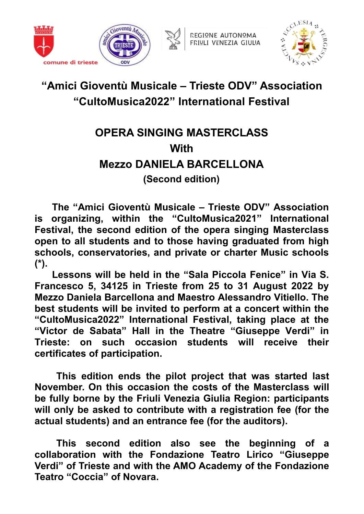





# **"Amici Gioventù Musicale – Trieste ODV" Association "CultoMusica2022" International Festival**

# **OPERA SINGING MASTERCLASS With Mezzo DANIELA BARCELLONA (Second edition)**

**The "Amici Gioventù Musicale – Trieste ODV" Association is organizing, within the "CultoMusica2021" International Festival, the second edition of the opera singing Masterclass open to all students and to those having graduated from high schools, conservatories, and private or charter Music schools (\*).**

**Lessons will be held in the "Sala Piccola Fenice" in Via S. Francesco 5, 34125 in Trieste from 25 to 31 August 2022 by Mezzo Daniela Barcellona and Maestro Alessandro Vitiello. The best students will be invited to perform at a concert within the "CultoMusica2022" International Festival, taking place at the "Victor de Sabata" Hall in the Theatre "Giuseppe Verdi" in Trieste: on such occasion students will receive their certificates of participation.**

**This edition ends the pilot project that was started last November. On this occasion the costs of the Masterclass will be fully borne by the Friuli Venezia Giulia Region: participants will only be asked to contribute with a registration fee (for the actual students) and an entrance fee (for the auditors).**

**This second edition also see the beginning of a collaboration with the Fondazione Teatro Lirico "Giuseppe Verdi" of Trieste and with the AMO Academy of the Fondazione Teatro "Coccia" of Novara.**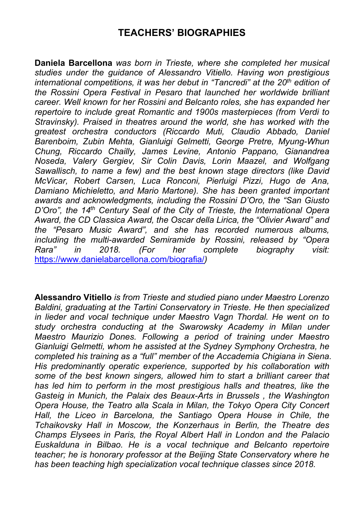### **TEACHERS' BIOGRAPHIES**

**Daniela Barcellona** *was born in Trieste, where she completed her musical studies under the guidance of Alessandro Vitiello. Having won prestigious international competitions, it was her debut in "Tancredi" at the 20 th edition of the Rossini Opera Festival in Pesaro that launched her worldwide brilliant career. Well known for her Rossini and Belcanto roles, she has expanded her repertoire to include great Romantic and 1900s masterpieces (from Verdi to Stravinsky). Praised in theatres around the world, she has worked with the greatest orchestra conductors (Riccardo Muti, Claudio Abbado, Daniel Barenboim, Zubin Mehta, Gianluigi Gelmetti, George Pretre, Myung-Whun Chung, Riccardo Chailly, James Levine, Antonio Pappano, Gianandrea Noseda, Valery Gergiev, Sir Colin Davis, Lorin Maazel, and Wolfgang Sawallisch, to name a few) and the best known stage directors (like David McVicar, Robert Carsen, Luca Ronconi, Pierluigi Pizzi, Hugo de Ana, Damiano Michieletto, and Mario Martone). She has been granted important awards and acknowledgments, including the Rossini D'Oro, the "San Giusto D'Oro", the 14 th Century Seal of the City of Trieste, the International Opera Award, the CD Classica Award, the Oscar della Lirica, the "Olivier Award" and the "Pesaro Music Award", and she has recorded numerous albums, including the multi-awarded Semiramide by Rossini, released by "Opera Rara" in 2018. (For her complete biography visit:* <https://www.danielabarcellona.com/biografia/>*)*

**Alessandro Vitiello** *is from Trieste andstudied piano under Maestro Lorenzo Baldini, graduating at the Tartini Conservatory in Trieste. He then specialized in lieder and vocal technique under Maestro Vagn Thordal. He went on to study orchestra conducting at the Swarowsky Academy in Milan under Maestro Maurizio Dones. Following a period of training under Maestro Gianluigi Gelmetti, whom he assisted at the Sydney Symphony Orchestra, he completed his training as a "full" member of the Accademia Chigiana in Siena. His predominantly operatic experience, supported by his collaboration with some of the best known singers, allowed him to start a brilliant career that has led him to perform in the most prestigious halls and theatres, like the Gasteig in Munich, the Palaix des Beaux-Arts in Brussels , the Washington Opera House, the Teatro alla Scala in Milan, the Tokyo Opera City Concert Hall, the Liceo in Barcelona, the Santiago Opera House in Chile, the Tchaikovsky Hall in Moscow, the Konzerhaus in Berlin, the Theatre des Champs Elysees in Paris, the Royal Albert Hall in London and the Palacio Euskalduna in Bilbao. He is a vocal technique and Belcanto repertoire teacher; he is honorary professor at the Beijing State Conservatory where he has been teaching high specialization vocal technique classes since 2018.*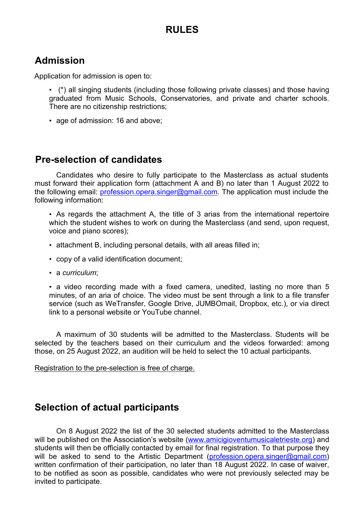### **RULES**

### **Admission**

Application for admission is open to:

- (\*) all singing students (including those following private classes) and those having graduated from Music Schools, Conservatories, and private and charter schools. There are no citizenship restrictions;
- age of admission: 16 and above;

#### **Pre-selection of candidates**

Candidates who desire to fully participate to the Masterclass as actual students must forward their application form (attachment A and B) no later than 1 August 2022 to the following email: [profession.opera.singer@gmail.com.](mailto:profession.opera.singer@gmail.com) The application must include the following information:

• As regards the attachment A, the title of 3 arias from the international repertoire which the student wishes to work on during the Masterclass (and send, upon request, voice and piano scores);

- attachment B, including personal details, with all areas filled in;
- copy of a valid identification document;
- a *curriculum*;

• a video recording made with a fixed camera, unedited, lasting no more than 5 minutes, of an aria of choice. The video must be sent through a link to a file transfer service (such as WeTransfer, Google Drive, JUMBOmail, Dropbox, etc.), or via direct link to a personal website or YouTube channel.

A maximum of 30 students will be admitted to the Masterclass. Students will be selected by the teachers based on their curriculum and the videos forwarded: among those, on 25 August 2022, an audition will be held to select the 10 actual participants.

Registration to the pre-selection is free of charge.

#### **Selection of actual participants**

On 8 August 2022 the list of the 30 selected students admitted to the Masterclass will be published on the Association's website ([www.amicigioventumusicaletrieste.org](http://www.amicigioventumusicaletrieste.org)) and students will then be officially contacted by email for final registration. To that purpose they will be asked to send to the Artistic Department [\(profession.opera.singer@gmail.com\)](mailto:profession.opera.singer@gmail.com) written confirmation of their participation, no later than 18 August 2022. In case of waiver, to be notified as soon as possible, candidates who were not previously selected may be invited to participate.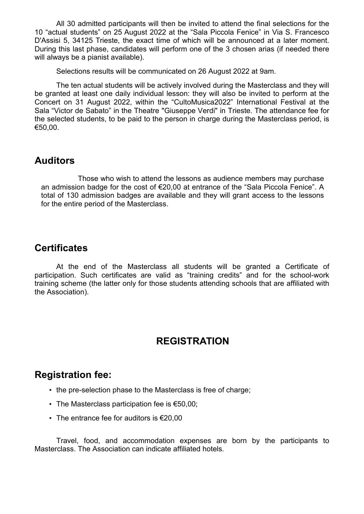All 30 admitted participants will then be invited to attend the final selections for the 10 "actual students" on 25 August 2022 at the "Sala Piccola Fenice" in Via S. Francesco D'Assisi 5, 34125 Trieste, the exact time of which will be announced at a later moment. During this last phase, candidates will perform one of the 3 chosen arias (if needed there will always be a pianist available).

Selections results will be communicated on 26 August 2022 at 9am.

The ten actual students will be actively involved during the Masterclass and they will be granted at least one daily individual lesson: they will also be invited to perform at the Concert on 31 August 2022, within the "CultoMusica2022" International Festival at the Sala "Victor de Sabato" in the Theatre "Giuseppe Verdi" in Trieste. The attendance fee for the selected students, to be paid to the person in charge during the Masterclass period, is €50,00.

#### **Auditors**

Those who wish to attend the lessons as audience members may purchase an admission badge for the cost of €20,00 at entrance of the "Sala Piccola Fenice". A total of 130 admission badges are available and they will grant access to the lessons for the entire period of the Masterclass.

#### **Certificates**

At the end of the Masterclass all students will be granted a Certificate of participation. Such certificates are valid as "training credits" and for the school-work training scheme (the latter only for those students attending schools that are affiliated with the Association).

# **REGISTRATION**

# **Registration fee:**

- the pre-selection phase to the Masterclass is free of charge;
- The Masterclass participation fee is €50,00;
- The entrance fee for auditors is €20,00

Travel, food, and accommodation expenses are born by the participants to Masterclass. The Association can indicate affiliated hotels.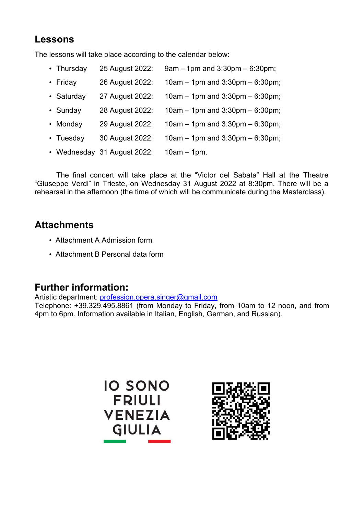# **Lessons**

The lessons will take place according to the calendar below:

| • Thursday | 25 August 2022:             | $9$ am $-1$ pm and $3:30$ pm $-6:30$ pm; |
|------------|-----------------------------|------------------------------------------|
| • Friday   | 26 August 2022:             | $10$ am – 1pm and 3:30pm – 6:30pm;       |
| • Saturday | 27 August 2022:             | $10$ am – 1pm and 3:30pm – 6:30pm;       |
| • Sunday   | 28 August 2022:             | $10am - 1pm$ and $3:30pm - 6:30pm$ ;     |
| • Monday   | 29 August 2022:             | $10$ am – 1pm and 3:30pm – 6:30pm;       |
| • Tuesday  | 30 August 2022:             | $10$ am – 1pm and 3:30pm – 6:30pm;       |
|            | • Wednesday 31 August 2022: | $10am - 1pm.$                            |

The final concert will take place at the "Victor del Sabata" Hall at the Theatre "Giuseppe Verdi" in Trieste, on Wednesday 31 August 2022 at 8:30pm.There will be a rehearsal in the afternoon (the time of which will be communicate during the Masterclass).

# **Attachments**

- Attachment A Admission form
- Attachment B Personal data form

# **Further information:**

Artistic department: [profession.opera.singer@gmail.com](mailto:profession.opera.singer@gmail.com)

Telephone: +39.329.495.8861 (from Monday to Friday, from 10am to 12 noon, and from 4pm to 6pm. Information available in Italian, English, German, and Russian).



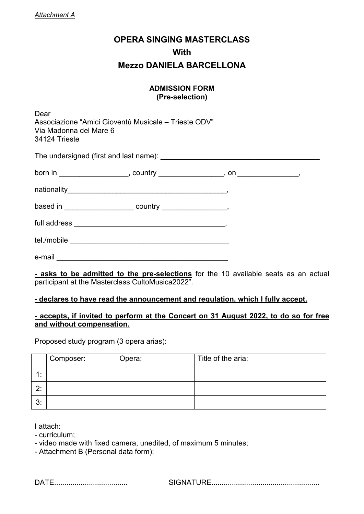# **OPERA SINGING MASTERCLASS With Mezzo DANIELA BARCELLONA**

#### **ADMISSION FORM (Pre-selection)**

Dear Associazione "Amici Gioventù Musicale – Trieste ODV" Via Madonna del Mare 6 34124 Trieste

The undersigned (first and last name):

**- asks to be admitted to the pre-selections** for the 10 available seats as an actual participant at the Masterclass CultoMusica2022".

#### **- declares to have read the announcement and regulation, which I fully accept.**

#### **- accepts, if invited to perform at the Concert on 31 August 2022, to do so for free and without compensation.**

Proposed study program (3 opera arias):

|    | Composer: | Opera: | Title of the aria: |
|----|-----------|--------|--------------------|
|    |           |        |                    |
| C. |           |        |                    |
| 3: |           |        |                    |

I attach:

- curriculum;

- video made with fixed camera, unedited, of maximum 5 minutes;

- Attachment B (Personal data form);

DATE.................................... SIGNATURE.....................................................